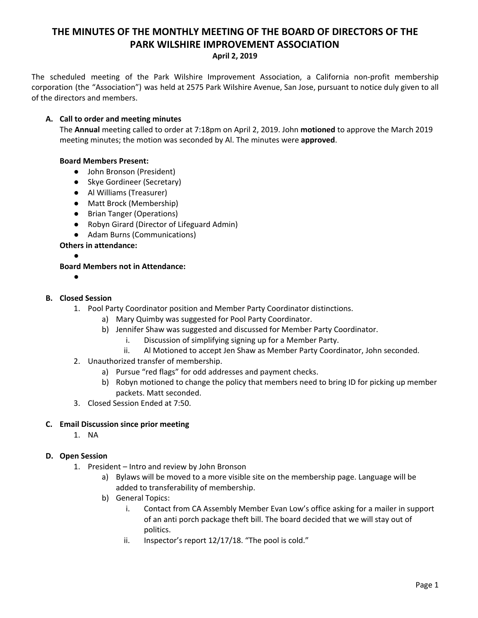# **THE MINUTES OF THE MONTHLY MEETING OF THE BOARD OF DIRECTORS OF THE PARK WILSHIRE IMPROVEMENT ASSOCIATION April 2, 2019**

The scheduled meeting of the Park Wilshire Improvement Association, a California non-profit membership corporation (the "Association") was held at 2575 Park Wilshire Avenue, San Jose, pursuant to notice duly given to all of the directors and members.

## **A. Call to order and meeting minutes**

The **Annual** meeting called to order at 7:18pm on April 2, 2019. John **motioned** to approve the March 2019 meeting minutes; the motion was seconded by Al. The minutes were **approved**.

## **Board Members Present:**

- John Bronson (President)
- Skye Gordineer (Secretary)
- **●** Al Williams (Treasurer)
- Matt Brock (Membership)
- Brian Tanger (Operations)
- Robyn Girard (Director of Lifeguard Admin)
- Adam Burns (Communications)

## **Others in attendance:**

●

# **Board Members not in Attendance:**

**●**

#### **B. Closed Session**

- 1. Pool Party Coordinator position and Member Party Coordinator distinctions.
	- a) Mary Quimby was suggested for Pool Party Coordinator.
		- b) Jennifer Shaw was suggested and discussed for Member Party Coordinator.
			- i. Discussion of simplifying signing up for a Member Party.
			- ii. Al Motioned to accept Jen Shaw as Member Party Coordinator, John seconded.
- 2. Unauthorized transfer of membership.
	- a) Pursue "red flags" for odd addresses and payment checks.
	- b) Robyn motioned to change the policy that members need to bring ID for picking up member packets. Matt seconded.
- 3. Closed Session Ended at 7:50.

#### **C. Email Discussion since prior meeting**

1. NA

# **D. Open Session**

- 1. President Intro and review by John Bronson
	- a) Bylaws will be moved to a more visible site on the membership page. Language will be added to transferability of membership.
	- b) General Topics:
		- i. Contact from CA Assembly Member Evan Low's office asking for a mailer in support of an anti porch package theft bill. The board decided that we will stay out of politics.
		- ii. Inspector's report 12/17/18. "The pool is cold."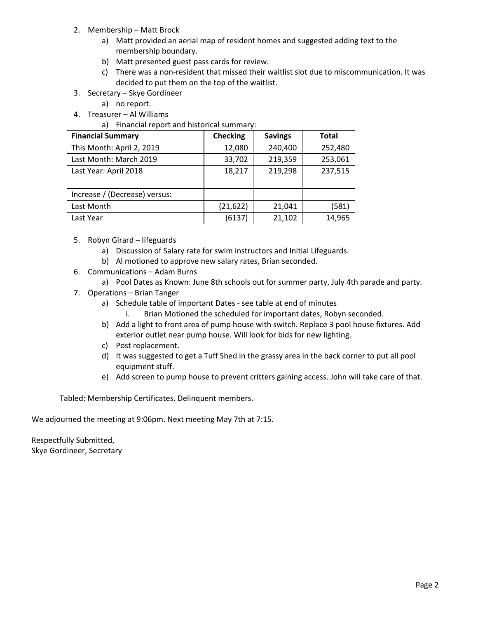- 2. Membership Matt Brock
	- a) Matt provided an aerial map of resident homes and suggested adding text to the membership boundary.
	- b) Matt presented guest pass cards for review.
	- c) There was a non-resident that missed their waitlist slot due to miscommunication. It was decided to put them on the top of the waitlist.
- 3. Secretary Skye Gordineer
	- a) no report.
- 4. Treasurer Al Williams

a) Financial report and historical summary:

| <b>Financial Summary</b>      | <b>Checking</b> | <b>Savings</b> | <b>Total</b> |
|-------------------------------|-----------------|----------------|--------------|
| This Month: April 2, 2019     | 12,080          | 240,400        | 252,480      |
| Last Month: March 2019        | 33,702          | 219,359        | 253,061      |
| Last Year: April 2018         | 18,217          | 219,298        | 237,515      |
|                               |                 |                |              |
| Increase / (Decrease) versus: |                 |                |              |
| Last Month                    | (21, 622)       | 21,041         | (581)        |
| Last Year                     | (6137)          | 21,102         | 14,965       |

- 5. Robyn Girard lifeguards
	- a) Discussion of Salary rate for swim instructors and Initial Lifeguards.
	- b) Al motioned to approve new salary rates, Brian seconded.
- 6. Communications Adam Burns
	- a) Pool Dates as Known: June 8th schools out for summer party, July 4th parade and party.
- 7. Operations Brian Tanger
	- a) Schedule table of important Dates see table at end of minutes
		- i. Brian Motioned the scheduled for important dates, Robyn seconded.
	- b) Add a light to front area of pump house with switch. Replace 3 pool house fixtures. Add exterior outlet near pump house. Will look for bids for new lighting.
	- c) Post replacement.
	- d) It was suggested to get a Tuff Shed in the grassy area in the back corner to put all pool equipment stuff.
	- e) Add screen to pump house to prevent critters gaining access. John will take care of that.

Tabled: Membership Certificates. Delinquent members.

We adjourned the meeting at 9:06pm. Next meeting May 7th at 7:15.

Respectfully Submitted, Skye Gordineer, Secretary